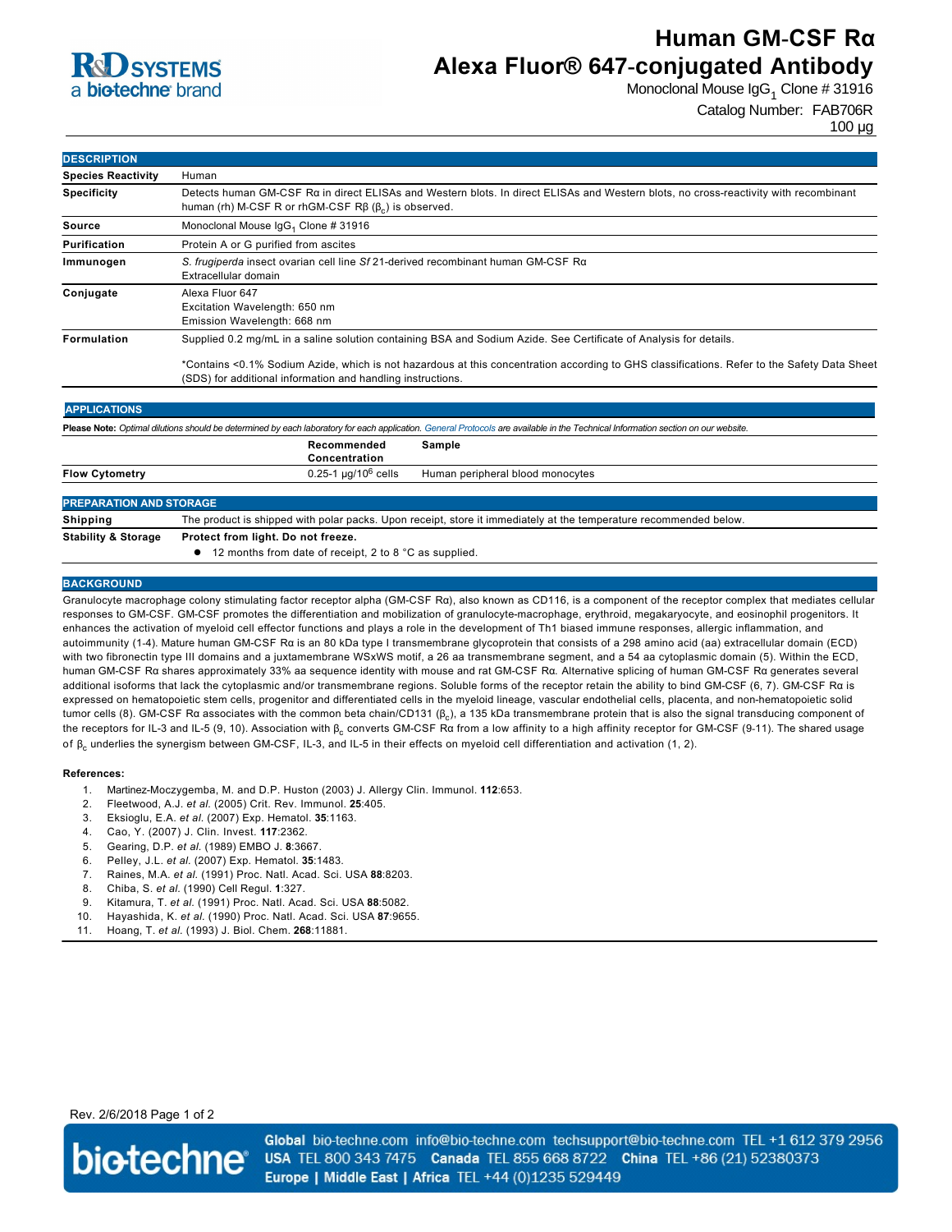

# **Human GM-CSF Rα Alexa Fluor® 647-conjugated Antibody**

Monoclonal Mouse IgG $_1$  Clone # 31916

Catalog Number: FAB706R

100 µg

| <b>DESCRIPTION</b>        |                                                                                                                                                                                                          |  |  |
|---------------------------|----------------------------------------------------------------------------------------------------------------------------------------------------------------------------------------------------------|--|--|
| <b>Species Reactivity</b> | Human                                                                                                                                                                                                    |  |  |
| <b>Specificity</b>        | Detects human GM-CSF Ra in direct ELISAs and Western blots. In direct ELISAs and Western blots, no cross-reactivity with recombinant<br>human (rh) M-CSF R or rhGM-CSF $R\beta$ ( $\beta$ ) is observed. |  |  |
| Source                    | Monoclonal Mouse IgG <sub>1</sub> Clone # 31916                                                                                                                                                          |  |  |
| Purification              | Protein A or G purified from ascites                                                                                                                                                                     |  |  |
| Immunogen                 | S. frugiperda insect ovarian cell line Sf 21-derived recombinant human GM-CSF R $\alpha$<br>Extracellular domain                                                                                         |  |  |
| Conjugate                 | Alexa Fluor 647<br>Excitation Wavelength: 650 nm<br>Emission Wavelength: 668 nm                                                                                                                          |  |  |
| <b>Formulation</b>        | Supplied 0.2 mg/mL in a saline solution containing BSA and Sodium Azide. See Certificate of Analysis for details.                                                                                        |  |  |
|                           | *Contains <0.1% Sodium Azide, which is not hazardous at this concentration according to GHS classifications. Refer to the Safety Data Sheet                                                              |  |  |

(SDS) for additional information and handling instructions.

| <b>APPLICATIONS</b>                                                                                                                                                               |                                                                                                                   |                                  |  |
|-----------------------------------------------------------------------------------------------------------------------------------------------------------------------------------|-------------------------------------------------------------------------------------------------------------------|----------------------------------|--|
| Please Note: Optimal dilutions should be determined by each laboratory for each application. General Protocols are available in the Technical Information section on our website. |                                                                                                                   |                                  |  |
|                                                                                                                                                                                   | Recommended<br>Concentration                                                                                      | Sample                           |  |
| <b>Flow Cytometry</b>                                                                                                                                                             | $0.25 - 1 \mu q/10^6$ cells                                                                                       | Human peripheral blood monocytes |  |
| <b>PREPARATION AND STORAGE</b>                                                                                                                                                    |                                                                                                                   |                                  |  |
| <b>Shipping</b>                                                                                                                                                                   | The product is shipped with polar packs. Upon receipt, store it immediately at the temperature recommended below. |                                  |  |
| <b>Stability &amp; Storage</b>                                                                                                                                                    | Protect from light. Do not freeze.<br>12 months from date of receipt, 2 to 8 °C as supplied.                      |                                  |  |

#### **BACKGROUND**

Granulocyte macrophage colony stimulating factor receptor alpha (GMCSF Rα), also known as CD116, is a component of the receptor complex that mediates cellular responses to GM-CSF. GM-CSF promotes the differentiation and mobilization of granulocyte-macrophage, erythroid, megakaryocyte, and eosinophil progenitors. It enhances the activation of myeloid cell effector functions and plays a role in the development of Th1 biased immune responses, allergic inflammation, and autoimmunity (14). Mature human GMCSF Rα is an 80 kDa type I transmembrane glycoprotein that consists of a 298 amino acid (aa) extracellular domain (ECD) with two fibronectin type III domains and a juxtamembrane WSxWS motif, a 26 aa transmembrane segment, and a 54 aa cytoplasmic domain (5). Within the ECD, human GMCSF Rα shares approximately 33% aa sequence identity with mouse and rat GMCSF Rα. Alternative splicing of human GMCSF Rα generates several additional isoforms that lack the cytoplasmic and/or transmembrane regions. Soluble forms of the receptor retain the ability to bind GMCSF (6, 7). GMCSF Rα is expressed on hematopoietic stem cells, progenitor and differentiated cells in the myeloid lineage, vascular endothelial cells, placenta, and nonhematopoietic solid tumor cells (8). GM-CSF Rα associates with the common beta chain/CD131 (β<sub>c</sub>), a 135 kDa transmembrane protein that is also the signal transducing component of the receptors for IL-3 and IL-5 (9, 10). Association with β<sub>c</sub> converts GM-CSF Rα from a low affinity to a high affinity receptor for GM-CSF (9-11). The shared usage of β<sub>c</sub> underlies the synergism between GM-CSF, IL-3, and IL-5 in their effects on myeloid cell differentiation and activation (1, 2).

#### **References:**

- 1. Martinez-Moczygemba, M. and D.P. Huston (2003) J. Allergy Clin. Immunol. **112**:653.
- 2. Fleetwood, A.J. *et al.* (2005) Crit. Rev. Immunol. **25**:405.
- 3. Eksioglu, E.A. *et al.* (2007) Exp. Hematol. **35**:1163.
- 4. Cao, Y. (2007) J. Clin. Invest. **117**:2362.
- 5. Gearing, D.P. *et al.* (1989) EMBO J. **8**:3667.
- 6. Pelley, J.L. *et al.* (2007) Exp. Hematol. **35**:1483.
- 7. Raines, M.A. *et al.* (1991) Proc. Natl. Acad. Sci. USA **88**:8203.
- 8. Chiba, S. *et al.* (1990) Cell Regul. **1**:327.
- 9. Kitamura, T. *et al.* (1991) Proc. Natl. Acad. Sci. USA **88**:5082.
- 10. Hayashida, K. *et al.* (1990) Proc. Natl. Acad. Sci. USA **87**:9655.
- 11. Hoang, T. *et al.* (1993) J. Biol. Chem. **268**:11881.

### Rev. 2/6/2018 Page 1 of 2



Global bio-techne.com info@bio-techne.com techsupport@bio-techne.com TEL +1 612 379 2956 USA TEL 800 343 7475 Canada TEL 855 668 8722 China TEL +86 (21) 52380373 Europe | Middle East | Africa TEL +44 (0)1235 529449